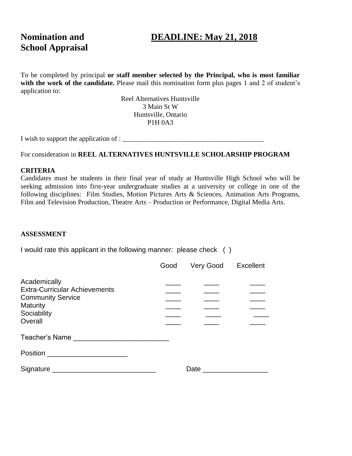# **School Appraisal**

## **Nomination and DEADLINE: May 21, 2018**

To be completed by principal **or staff member selected by the Principal, who is most familiar**  with the work of the candidate. Please mail this nomination form plus pages 1 and 2 of student's application to:

> Reel Alternatives Huntsville 3 Main St W Huntsville, Ontario P1H 0A3

I wish to support the application of : \_\_\_\_\_\_\_\_\_\_\_\_\_\_\_\_\_\_\_\_\_\_\_\_\_\_\_\_\_\_\_\_\_\_\_\_\_\_\_\_\_

For consideration in **REEL ALTERNATIVES HUNTSVILLE SCHOLARSHIP PROGRAM**

#### **CRITERIA**

Candidates must be students in their final year of study at Huntsville High School who will be seeking admission into first-year undergraduate studies at a university or college in one of the following disciplines: Film Studies, Motion Pictures Arts & Sciences, Animation Arts Programs, Film and Television Production, Theatre Arts – Production or Performance, Digital Media Arts.

#### **ASSESSMENT**

I would rate this applicant in the following manner: please check ( )

|                                                                                                                                                                                                                                | Good | Very Good Excellent                                                                                             |  |
|--------------------------------------------------------------------------------------------------------------------------------------------------------------------------------------------------------------------------------|------|-----------------------------------------------------------------------------------------------------------------|--|
| Academically<br><b>Extra-Curricular Achievements</b><br><b>Community Service</b><br><b>Maturity</b><br>Sociability<br>Overall                                                                                                  |      |                                                                                                                 |  |
| Teacher's Name                                                                                                                                                                                                                 |      |                                                                                                                 |  |
|                                                                                                                                                                                                                                |      |                                                                                                                 |  |
| Signature Signature Signature Signature Signature Signature Signature Signature Signature Signature Signature Signature Signature Signature Signature Signature Signature Signature Signature Signature Signature Signature Si |      | Date and the state of the state of the state of the state of the state of the state of the state of the state o |  |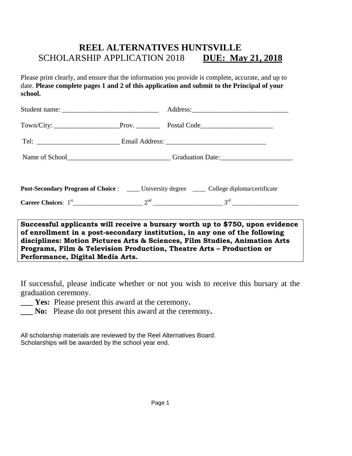## **REEL ALTERNATIVES HUNTSVILLE** SCHOLARSHIP APPLICATION 2018 **DUE: May 21, 2018**

Please print clearly, and ensure that the information you provide is complete, accurate, and up to date. **Please complete pages 1 and 2 of this application and submit to the Principal of your school.**

|                                                                                                                                                                                                                                                                      |  | Post-Secondary Program of Choice : ____ University degree ____ College diploma/certificate |  |
|----------------------------------------------------------------------------------------------------------------------------------------------------------------------------------------------------------------------------------------------------------------------|--|--------------------------------------------------------------------------------------------|--|
|                                                                                                                                                                                                                                                                      |  |                                                                                            |  |
| Successful applicants will receive a bursary worth up to \$750, upon evidence<br>of enrollment in a post-secondary institution, in any one of the following<br>لا المناسبة المناسبة المساحية المساحية المناسبة المناسبة المناسبة المناسبة المناسبة المناسبة المناسبة |  |                                                                                            |  |

**disciplines: Motion Pictures Arts & Sciences, Film Studies, Animation Arts Programs, Film & Television Production, Theatre Arts – Production or Performance, Digital Media Arts.**

If successful, please indicate whether or not you wish to receive this bursary at the graduation ceremony.

- **\_\_\_ Yes:** Please present this award at the ceremony**.**
- **\_\_\_ No:** Please do not present this award at the ceremony**.**

All scholarship materials are reviewed by the Reel Alternatives Board. Scholarships will be awarded by the school year end.